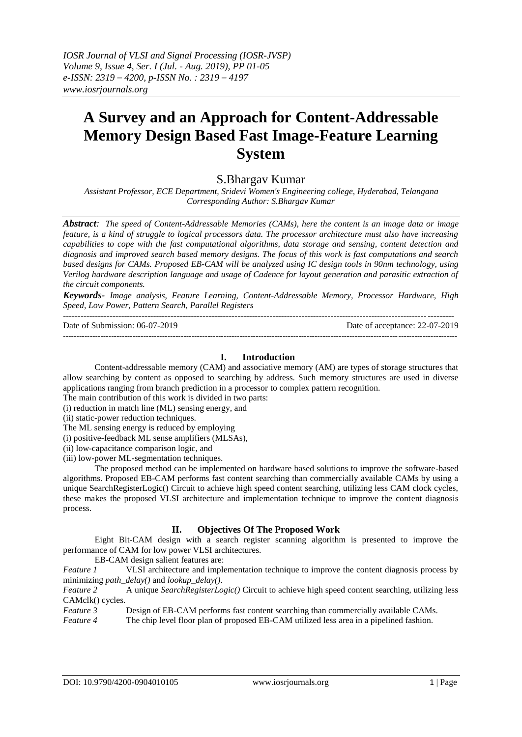# **A Survey and an Approach for Content-Addressable Memory Design Based Fast Image-Feature Learning System**

S.Bhargav Kumar

*Assistant Professor, ECE Department, Sridevi Women's Engineering college, Hyderabad, Telangana Corresponding Author: S.Bhargav Kumar*

*Abstract: The speed of Content-Addressable Memories (CAMs), here the content is an image data or image feature, is a kind of struggle to logical processors data. The processor architecture must also have increasing capabilities to cope with the fast computational algorithms, data storage and sensing, content detection and diagnosis and improved search based memory designs. The focus of this work is fast computations and search based designs for CAMs. Proposed EB-CAM will be analyzed using IC design tools in 90nm technology, using Verilog hardware description language and usage of Cadence for layout generation and parasitic extraction of the circuit components.* 

*Keywords- Image analysis, Feature Learning, Content-Addressable Memory, Processor Hardware, High Speed, Low Power, Pattern Search, Parallel Registers* --------------------------------------------------------------------------------------------------------------------------------------

Date of Submission: 06-07-2019 Date of acceptance: 22-07-2019

#### **I. Introduction**

---------------------------------------------------------------------------------------------------------------------------------------------------

Content-addressable memory (CAM) and associative memory (AM) are types of storage structures that allow searching by content as opposed to searching by address. Such memory structures are used in diverse applications ranging from branch prediction in a processor to complex pattern recognition.

The main contribution of this work is divided in two parts:

(i) reduction in match line (ML) sensing energy, and

(ii) static-power reduction techniques.

The ML sensing energy is reduced by employing

(i) positive-feedback ML sense amplifiers (MLSAs),

(ii) low-capacitance comparison logic, and

(iii) low-power ML-segmentation techniques.

The proposed method can be implemented on hardware based solutions to improve the software-based algorithms. Proposed EB-CAM performs fast content searching than commercially available CAMs by using a unique SearchRegisterLogic() Circuit to achieve high speed content searching, utilizing less CAM clock cycles, these makes the proposed VLSI architecture and implementation technique to improve the content diagnosis process.

## **II. Objectives Of The Proposed Work**

Eight Bit-CAM design with a search register scanning algorithm is presented to improve the performance of CAM for low power VLSI architectures.

EB-CAM design salient features are:

*Feature 1* VLSI architecture and implementation technique to improve the content diagnosis process by minimizing *path\_delay()* and *lookup\_delay()*.

*Feature 2* A unique *SearchRegisterLogic()* Circuit to achieve high speed content searching, utilizing less CAMclk() cycles.

*Feature 3* Design of EB-CAM performs fast content searching than commercially available CAMs.<br>*Feature 4* The chip level floor plan of proposed EB-CAM utilized less area in a pipelined fashion.

*Feature 4* The chip level floor plan of proposed EB-CAM utilized less area in a pipelined fashion.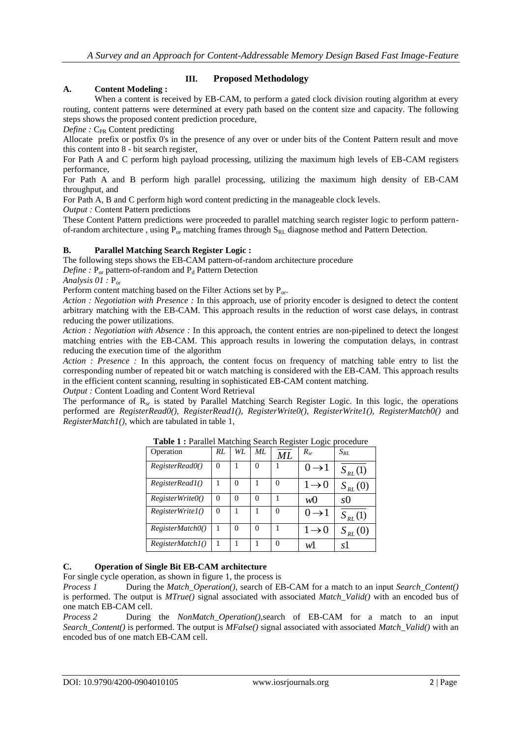## **A. Content Modeling :**

## **III. Proposed Methodology**

When a content is received by EB-CAM, to perform a gated clock division routing algorithm at every routing, content patterns were determined at every path based on the content size and capacity. The following steps shows the proposed content prediction procedure,

*Define* : C<sub>PR</sub> Content predicting

Allocate prefix or postfix 0's in the presence of any over or under bits of the Content Pattern result and move this content into 8 - bit search register,

For Path A and C perform high payload processing, utilizing the maximum high levels of EB-CAM registers performance,

For Path A and B perform high parallel processing, utilizing the maximum high density of EB-CAM throughput, and

For Path A, B and C perform high word content predicting in the manageable clock levels.

*Output :* Content Pattern predictions

These Content Pattern predictions were proceeded to parallel matching search register logic to perform patternof-random architecture, using  $P_{or}$  matching frames through  $S_{RL}$  diagnose method and Pattern Detection.

## **B. Parallel Matching Search Register Logic :**

The following steps shows the EB-CAM pattern-of-random architecture procedure

*Define* :  $P_{or}$  pattern-of-random and  $P_d$  Pattern Detection

*Analysis 01 :* Por

Perform content matching based on the Filter Actions set by  $P_{or}$ .

*Action : Negotiation with Presence :* In this approach, use of priority encoder is designed to detect the content arbitrary matching with the EB-CAM. This approach results in the reduction of worst case delays, in contrast reducing the power utilizations.

*Action : Negotiation with Absence :* In this approach, the content entries are non-pipelined to detect the longest matching entries with the EB-CAM. This approach results in lowering the computation delays, in contrast reducing the execution time of the algorithm

*Action : Presence :* In this approach, the content focus on frequency of matching table entry to list the corresponding number of repeated bit or watch matching is considered with the EB-CAM. This approach results in the efficient content scanning, resulting in sophisticated EB-CAM content matching.

*Output :* Content Loading and Content Word Retrieval

The performance of R*sr* is stated by Parallel Matching Search Register Logic. In this logic, the operations performed are *RegisterRead0(), RegisterRead1(), RegisterWrite0(), RegisterWrite1(), RegisterMatch0()* and *RegisterMatch1()*, which are tabulated in table 1,

| Operation               | RL       | WL.      | ML | ML | $R_{sr}$          | $S_{RL}$    |
|-------------------------|----------|----------|----|----|-------------------|-------------|
| RegisterRead0()         | $\Omega$ |          | 0  |    | $0 \rightarrow 1$ | $S_{RL}(1)$ |
| RegisterRead1()         |          | 0        |    |    | $1\rightarrow 0$  | $S_{RL}(0)$ |
| RegisterWriteO()        | $\Omega$ | $\Omega$ | 0  |    | wO                | s()         |
| <i>RegisterWrite1()</i> | $\Omega$ |          |    |    | $0 \rightarrow 1$ | $S_{RL}(1)$ |
| RegisterMatchO()        |          | $\theta$ | 0  |    | $1 \rightarrow 0$ | $S_{RL}(0)$ |
| RegisterMatchI()        |          |          |    |    | wl                | sT          |

**Table 1 :** Parallel Matching Search Register Logic procedure

## **C. Operation of Single Bit EB-CAM architecture**

For single cycle operation, as shown in figure 1, the process is

*Process 1* During the *Match\_Operation()*, search of EB-CAM for a match to an input *Search\_Content()* is performed. The output is *MTrue()* signal associated with associated *Match\_Valid()* with an encoded bus of one match EB-CAM cell.

*Process 2* During the *NonMatch\_Operation()*,search of EB-CAM for a match to an input *Search\_Content()* is performed. The output is *MFalse()* signal associated with associated *Match\_Valid()* with an encoded bus of one match EB-CAM cell.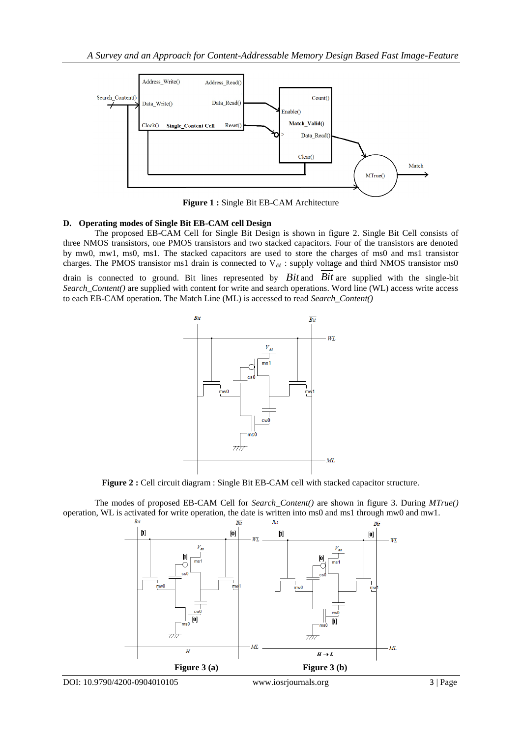

**Figure 1 :** Single Bit EB-CAM Architecture

## **D. Operating modes of Single Bit EB-CAM cell Design**

The proposed EB-CAM Cell for Single Bit Design is shown in figure 2. Single Bit Cell consists of three NMOS transistors, one PMOS transistors and two stacked capacitors. Four of the transistors are denoted by mw0, mw1, ms0, ms1. The stacked capacitors are used to store the charges of ms0 and ms1 transistor charges. The PMOS transistor ms1 drain is connected to  $V_{dd}$ : supply voltage and third NMOS transistor ms0

drain is connected to ground. Bit lines represented by *Bit* and *Bit* are supplied with the single-bit *Search\_Content()* are supplied with content for write and search operations. Word line (WL) access write access to each EB-CAM operation. The Match Line (ML) is accessed to read *Search\_Content()*



**Figure 2 :** Cell circuit diagram : Single Bit EB-CAM cell with stacked capacitor structure.

The modes of proposed EB-CAM Cell for *Search\_Content()* are shown in figure 3. During *MTrue()* operation, WL is activated for write operation, the date is written into ms0 and ms1 through mw0 and mw1.

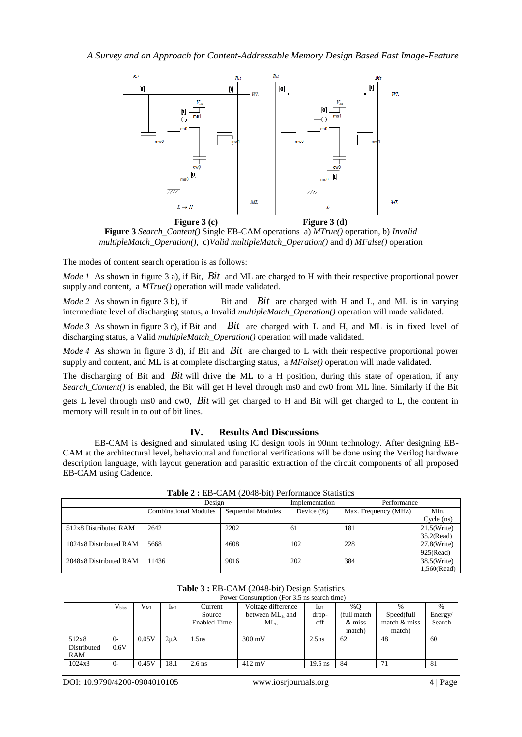

**Figure 3** *Search\_Content()* Single EB-CAM operations a) *MTrue()* operation, b) *Invalid multipleMatch\_Operation()*, c)*Valid multipleMatch\_Operation()* and d) *MFalse()* operation

The modes of content search operation is as follows:

*Mode 1* As shown in figure 3 a), if Bit, *Bit* and ML are charged to H with their respective proportional power supply and content, a *MTrue()* operation will made validated.

 $Mode 2$  As shown in figure 3 b), if Bit are charged with H and L, and ML is in varying intermediate level of discharging status, a Invalid *multipleMatch\_Operation()* operation will made validated.

*Mode 3* As shown in figure 3 c), if Bit and *Bit* are charged with L and H, and ML is in fixed level of discharging status, a Valid *multipleMatch\_Operation()* operation will made validated.

*Mode 4* As shown in figure 3 d), if Bit and *Bit* are charged to L with their respective proportional power supply and content, and ML is at complete discharging status, a *MFalse()* operation will made validated.

The discharging of Bit and *Bit* will drive the ML to a H position, during this state of operation, if any *Search\_Content()* is enabled, the Bit will get H level through ms0 and cw0 from ML line. Similarly if the Bit gets L level through ms0 and cw0, *Bit* will get charged to H and Bit will get charged to L, the content in memory will result in to out of bit lines.

## **IV. Results And Discussions**

EB-CAM is designed and simulated using IC design tools in 90nm technology. After designing EB-CAM at the architectural level, behavioural and functional verifications will be done using the Verilog hardware description language, with layout generation and parasitic extraction of the circuit components of all proposed EB-CAM using Cadence.

| $\blacksquare$         |                              |                           |                |                      |                |  |  |  |  |
|------------------------|------------------------------|---------------------------|----------------|----------------------|----------------|--|--|--|--|
|                        | Design                       |                           | Implementation | Performance          |                |  |  |  |  |
|                        | <b>Combinational Modules</b> | <b>Sequential Modules</b> | Device $(\%)$  | Max. Frequency (MHz) | Min.           |  |  |  |  |
|                        |                              |                           |                |                      | Cycle (ns)     |  |  |  |  |
| 512x8 Distributed RAM  | 2642                         | 2202                      | 61             | 181                  | $21.5$ (Write) |  |  |  |  |
|                        |                              |                           |                |                      | $35.2$ (Read)  |  |  |  |  |
| 1024x8 Distributed RAM | 5668                         | 4608                      | 102            | 228                  | $27.8$ (Write) |  |  |  |  |
|                        |                              |                           |                |                      | 925(Read)      |  |  |  |  |
| 2048x8 Distributed RAM | 11436                        | 9016                      | 202            | 384                  | 38.5(Write)    |  |  |  |  |
|                        |                              |                           |                |                      | 1,560(Read)    |  |  |  |  |

**Table 2 :** EB-CAM (2048-bit) Performance Statistics

|             | Power Consumption (For 3.5 ns search time) |          |          |                     |                    |           |             |                |               |  |
|-------------|--------------------------------------------|----------|----------|---------------------|--------------------|-----------|-------------|----------------|---------------|--|
|             | $V_{bias}$                                 | $V_{ML}$ | $I_{ML}$ | Current             | Voltage difference | $I_{ML}$  | %O          | $\%$           | $\frac{0}{0}$ |  |
|             |                                            |          |          | Source              | between $ML_H$ and | drop-     | (full match | Speed(full     | Energy/       |  |
|             |                                            |          |          | <b>Enabled Time</b> | $ML_{L}$           | off       | & miss      | match $&$ miss | Search        |  |
|             |                                            |          |          |                     |                    |           | match)      | match)         |               |  |
| 512x8       | $O -$                                      | 0.05V    | $2\mu$ A | .5ns                | $300 \text{ mV}$   | $2.5$ ns  | 62          | 48             | 60            |  |
| Distributed | 0.6V                                       |          |          |                     |                    |           |             |                |               |  |
| RAM         |                                            |          |          |                     |                    |           |             |                |               |  |
| 1024x8      | $O -$                                      | 0.45V    | 18.1     | $2.6$ ns            | $412 \text{ mV}$   | $19.5$ ns | 84          | 71             | 81            |  |

#### **Table 3 :** EB-CAM (2048-bit) Design Statistics